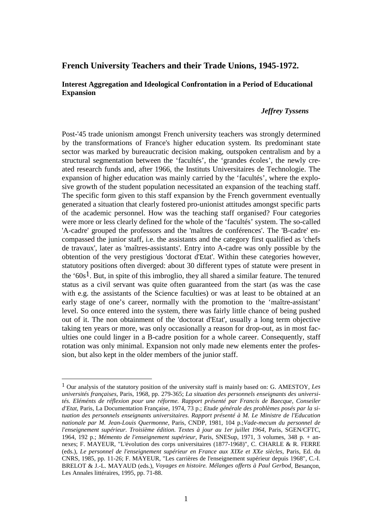## **French University Teachers and their Trade Unions, 1945-1972.**

## **Interest Aggregation and Ideological Confrontation in a Period of Educational Expansion**

## *Jeffrey Tyssens*

Post-'45 trade unionism amongst French university teachers was strongly determined by the transformations of France's higher education system. Its predominant state sector was marked by bureaucratic decision making, outspoken centralism and by a structural segmentation between the 'facultés', the 'grandes écoles', the newly created research funds and, after 1966, the Instituts Universitaires de Technologie. The expansion of higher education was mainly carried by the 'facultés', where the explosive growth of the student population necessitated an expansion of the teaching staff. The specific form given to this staff expansion by the French government eventually generated a situation that clearly fostered pro-unionist attitudes amongst specific parts of the academic personnel. How was the teaching staff organised? Four categories were more or less clearly defined for the whole of the 'facultés' system. The so-called 'A-cadre' grouped the professors and the 'maîtres de conférences'. The 'B-cadre' encompassed the junior staff, i.e. the assistants and the category first qualified as 'chefs de travaux', later as 'maîtres-assistants'. Entry into A-cadre was only possible by the obtention of the very prestigious 'doctorat d'Etat'. Within these categories however, statutory positions often diverged: about 30 different types of statute were present in the ' $60s^1$ . But, in spite of this imbroglio, they all shared a similar feature. The tenured status as a civil servant was quite often guaranteed from the start (as was the case with e.g. the assistants of the Science faculties) or was at least to be obtained at an early stage of one's career, normally with the promotion to the 'maître-assistant' level. So once entered into the system, there was fairly little chance of being pushed out of it. The non obtainment of the 'doctorat d'Etat', usually a long term objective taking ten years or more, was only occasionally a reason for drop-out, as in most faculties one could linger in a B-cadre position for a whole career. Consequently, staff rotation was only minimal. Expansion not only made new elements enter the profession, but also kept in the older members of the junior staff.

<sup>1</sup> Our analysis of the statutory position of the university staff is mainly based on: G. AMESTOY, *Les universités françaises*, Paris, 1968, pp. 279-365; *La situation des personnels enseignants des universités. Eléménts de réflexion pour une réforme. Rapport présenté par Francis de Baecque, Conseiler d'Etat*, Paris, La Documentation Française, 1974, 73 p.; *Etude générale des problèmes posés par la situation des personnels enseignants universitaires. Rapport présenté à M. Le Ministre de l'Education nationale par M. Jean-Louis Quermonne*, Paris, CNDP, 1981, 104 p.;*Vade-mecum du personnel de l'enseignement supérieur. Troisième édition. Textes à jour au 1er juillet 1964*, Paris, SGEN/CFTC, 1964, 192 p.; *Mémento de l'enseignement supérieur*, Paris, SNESup, 1971, 3 volumes, 348 p. + annexes; F. MAYEUR, "L'évolution des corps universitaires (1877-1968)", C. CHARLE & R. FERRE (eds.), *Le personnel de l'enseignement supérieur en France aux XIXe et XXe siècles*, Paris, Ed. du CNRS, 1985, pp. 11-26; F. MAYEUR, "Les carrières de l'enseignement supérieur depuis 1968", C.-I. BRELOT & J.-L. MAYAUD (eds.), *Voyages en histoire. Mélanges offerts à Paul Gerbod*, Besançon, Les Annales littéraires, 1995, pp. 71-88.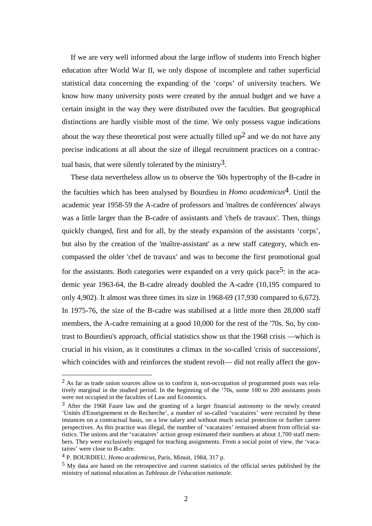If we are very well informed about the large inflow of students into French higher education after World War II, we only dispose of incomplete and rather superficial statistical data concerning the expanding of the 'corps' of university teachers. We know how many university posts were created by the annual budget and we have a certain insight in the way they were distributed over the faculties. But geographical distinctions are hardly visible most of the time. We only possess vague indications about the way these theoretical post were actually filled  $up<sup>2</sup>$  and we do not have any precise indications at all about the size of illegal recruitment practices on a contractual basis, that were silently tolerated by the ministry<sup>3</sup>.

These data nevertheless allow us to observe the '60s hypertrophy of the B-cadre in the faculties which has been analysed by Bourdieu in *Homo academicus*4. Until the academic year 1958-59 the A-cadre of professors and 'maîtres de conférences' always was a little larger than the B-cadre of assistants and 'chefs de travaux'. Then, things quickly changed, first and for all, by the steady expansion of the assistants 'corps', but also by the creation of the 'maître-assistant' as a new staff category, which encompassed the older 'chef de travaux' and was to become the first promotional goal for the assistants. Both categories were expanded on a very quick pace<sup>5</sup>: in the academic year 1963-64, the B-cadre already doubled the A-cadre (10,195 compared to only 4,902). It almost was three times its size in 1968-69 (17,930 compared to 6,672). In 1975-76, the size of the B-cadre was stabilised at a little more then 28,000 staff members, the A-cadre remaining at a good 10,000 for the rest of the '70s. So, by contrast to Bourdieu's approach, official statistics show us that the 1968 crisis —which is crucial in his vision, as it constitutes a climax in the so-called 'crisis of successions', which coincides with and reinforces the student revolt— did not really affect the gov-

 $\overline{a}$ 

<sup>&</sup>lt;sup>2</sup> As far as trade union sources allow us to confirm it, non-occupation of programmed posts was relatively marginal in the studied period. In the beginning of the '70s, some 100 to 200 assistants posts were not occupied in the faculties of Law and Economics.

 $3$  After the 1968 Faure law and the granting of a larger financial autonomy to the newly created 'Unités d'Enseignement et de Recherche', a number of so-called 'vacataires' were recruited by these instances on a contractual basis, on a low salary and without much social protection or further career perspectives. As this practice was illegal, the number of 'vacataires' remained absent from official statistics. The unions and the 'vacataires' action group estimated their numbers at about 1,700 staff members. They were exclusively engaged for teaching assignments. From a social point of view, the 'vacataires' were close to B-cadre.

<sup>4</sup> P. BOURDIEU, *Homo academicus*, Paris, Minuit, 1984, 317 p.

<sup>5</sup> My data are based on the retrospective and current statistics of the official series published by the ministry of national education as *Tableaux de l'éducation nationale*.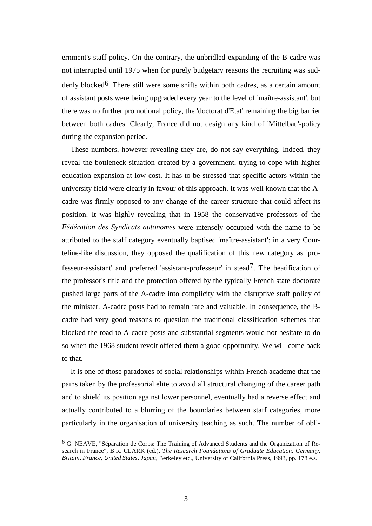ernment's staff policy. On the contrary, the unbridled expanding of the B-cadre was not interrupted until 1975 when for purely budgetary reasons the recruiting was suddenly blocked<sup>6</sup>. There still were some shifts within both cadres, as a certain amount of assistant posts were being upgraded every year to the level of 'maître-assistant', but there was no further promotional policy, the 'doctorat d'Etat' remaining the big barrier between both cadres. Clearly, France did not design any kind of 'Mittelbau'-policy during the expansion period.

These numbers, however revealing they are, do not say everything. Indeed, they reveal the bottleneck situation created by a government, trying to cope with higher education expansion at low cost. It has to be stressed that specific actors within the university field were clearly in favour of this approach. It was well known that the Acadre was firmly opposed to any change of the career structure that could affect its position. It was highly revealing that in 1958 the conservative professors of the *Fédération des Syndicats autonomes* were intensely occupied with the name to be attributed to the staff category eventually baptised 'maître-assistant': in a very Courteline-like discussion, they opposed the qualification of this new category as 'professeur-assistant' and preferred 'assistant-professeur' in stead7. The beatification of the professor's title and the protection offered by the typically French state doctorate pushed large parts of the A-cadre into complicity with the disruptive staff policy of the minister. A-cadre posts had to remain rare and valuable. In consequence, the Bcadre had very good reasons to question the traditional classification schemes that blocked the road to A-cadre posts and substantial segments would not hesitate to do so when the 1968 student revolt offered them a good opportunity. We will come back to that.

It is one of those paradoxes of social relationships within French academe that the pains taken by the professorial elite to avoid all structural changing of the career path and to shield its position against lower personnel, eventually had a reverse effect and actually contributed to a blurring of the boundaries between staff categories, more particularly in the organisation of university teaching as such. The number of obli-

 $6$  G. NEAVE, "Séparation de Corps: The Training of Advanced Students and the Organization of Research in France", B.R. CLARK (ed.), *The Research Foundations of Graduate Education. Germany, Britain, France, United States, Japan*, Berkeley etc., University of California Press, 1993, pp. 178 e.s.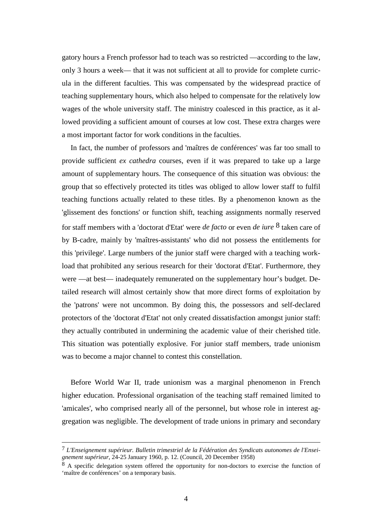gatory hours a French professor had to teach was so restricted —according to the law, only 3 hours a week— that it was not sufficient at all to provide for complete curricula in the different faculties. This was compensated by the widespread practice of teaching supplementary hours, which also helped to compensate for the relatively low wages of the whole university staff. The ministry coalesced in this practice, as it allowed providing a sufficient amount of courses at low cost. These extra charges were a most important factor for work conditions in the faculties.

In fact, the number of professors and 'maîtres de conférences' was far too small to provide sufficient *ex cathedra* courses, even if it was prepared to take up a large amount of supplementary hours. The consequence of this situation was obvious: the group that so effectively protected its titles was obliged to allow lower staff to fulfil teaching functions actually related to these titles. By a phenomenon known as the 'glissement des fonctions' or function shift, teaching assignments normally reserved for staff members with a 'doctorat d'Etat' were *de facto* or even *de iure* 8 taken care of by B-cadre, mainly by 'maîtres-assistants' who did not possess the entitlements for this 'privilege'. Large numbers of the junior staff were charged with a teaching workload that prohibited any serious research for their 'doctorat d'Etat'. Furthermore, they were —at best— inadequately remunerated on the supplementary hour's budget. Detailed research will almost certainly show that more direct forms of exploitation by the 'patrons' were not uncommon. By doing this, the possessors and self-declared protectors of the 'doctorat d'Etat' not only created dissatisfaction amongst junior staff: they actually contributed in undermining the academic value of their cherished title. This situation was potentially explosive. For junior staff members, trade unionism was to become a major channel to contest this constellation.

Before World War II, trade unionism was a marginal phenomenon in French higher education. Professional organisation of the teaching staff remained limited to 'amicales', who comprised nearly all of the personnel, but whose role in interest aggregation was negligible. The development of trade unions in primary and secondary

<sup>7</sup> *L'Enseignement supérieur. Bulletin trimestriel de la Fédération des Syndicats autonomes de l'Enseignement supérieur*, 24-25 January 1960, p. 12. (Council, 20 December 1958)

<sup>&</sup>lt;sup>8</sup> A specific delegation system offered the opportunity for non-doctors to exercise the function of 'maître de conférences' on a temporary basis.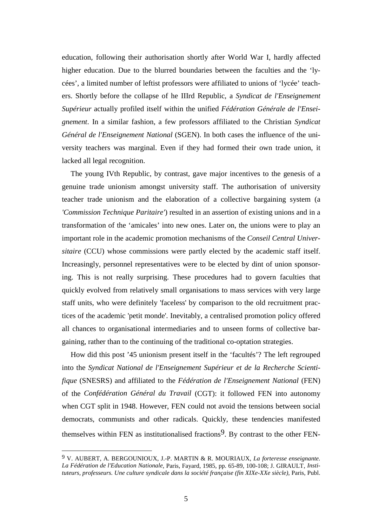education, following their authorisation shortly after World War I, hardly affected higher education. Due to the blurred boundaries between the faculties and the 'lycées', a limited number of leftist professors were affiliated to unions of 'lycée' teachers. Shortly before the collapse of he IIIrd Republic, a *Syndicat de l'Enseignement Supérieur* actually profiled itself within the unified *Fédération Générale de l'Enseignement*. In a similar fashion, a few professors affiliated to the Christian *Syndicat Général de l'Enseignement National* (SGEN). In both cases the influence of the university teachers was marginal. Even if they had formed their own trade union, it lacked all legal recognition.

The young IVth Republic, by contrast, gave major incentives to the genesis of a genuine trade unionism amongst university staff. The authorisation of university teacher trade unionism and the elaboration of a collective bargaining system (a *'Commission Technique Paritaire'*) resulted in an assertion of existing unions and in a transformation of the 'amicales' into new ones. Later on, the unions were to play an important role in the academic promotion mechanisms of the *Conseil Central Universitaire* (CCU) whose commissions were partly elected by the academic staff itself. Increasingly, personnel representatives were to be elected by dint of union sponsoring. This is not really surprising. These procedures had to govern faculties that quickly evolved from relatively small organisations to mass services with very large staff units, who were definitely 'faceless' by comparison to the old recruitment practices of the academic 'petit monde'. Inevitably, a centralised promotion policy offered all chances to organisational intermediaries and to unseen forms of collective bargaining, rather than to the continuing of the traditional co-optation strategies.

How did this post '45 unionism present itself in the 'facultés'? The left regrouped into the *Syndicat National de l'Enseignement Supérieur et de la Recherche Scientifique* (SNESRS) and affiliated to the *Fédération de l'Enseignement National* (FEN) of the *Confédération Général du Travail* (CGT): it followed FEN into autonomy when CGT split in 1948. However, FEN could not avoid the tensions between social democrats, communists and other radicals. Quickly, these tendencies manifested themselves within FEN as institutionalised fractions<sup>9</sup>. By contrast to the other FEN-

<sup>9</sup> V. AUBERT, A. BERGOUNIOUX, J.-P. MARTIN & R. MOURIAUX, *La forteresse enseignante. La Fédération de l'Education Nationale*, Paris, Fayard, 1985, pp. 65-89, 100-108; J. GIRAULT, *Instituteurs, professeurs. Une culture syndicale dans la société française (fin XIXe-XXe siècle)*, Paris, Publ.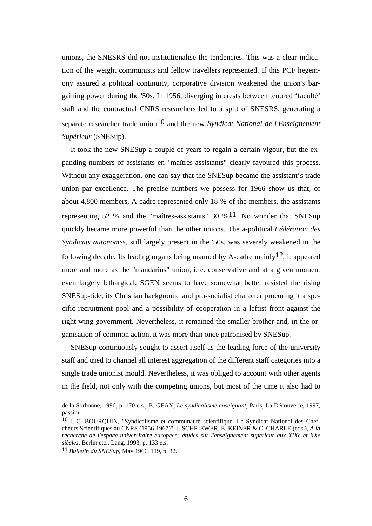unions, the SNESRS did not institutionalise the tendencies. This was a clear indication of the weight communists and fellow travellers represented. If this PCF hegemony assured a political continuity, corporative division weakened the union's bargaining power during the '50s. In 1956, diverging interests between tenured 'faculté' staff and the contractual CNRS researchers led to a split of SNESRS, generating a separate researcher trade union10 and the new *Syndicat National de l'Enseignement Supérieur* (SNESup).

It took the new SNESup a couple of years to regain a certain vigour, but the expanding numbers of assistants en "maîtres-assistants" clearly favoured this process. Without any exaggeration, one can say that the SNESup became the assistant's trade union par excellence. The precise numbers we possess for 1966 show us that, of about 4,800 members, A-cadre represented only 18 % of the members, the assistants representing 52 % and the "maîtres-assistants" 30 %<sup>11</sup>. No wonder that SNESup quickly became more powerful than the other unions. The a-political *Fédération des Syndicats autonomes*, still largely present in the '50s, was severely weakened in the following decade. Its leading organs being manned by A-cadre mainly<sup>12</sup>, it appeared more and more as the "mandarins" union, i. e. conservative and at a given moment even largely lethargical. SGEN seems to have somewhat better resisted the rising SNESup-tide, its Christian background and pro-socialist character procuring it a specific recruitment pool and a possibility of cooperation in a leftist front against the right wing government. Nevertheless, it remained the smaller brother and, in the organisation of common action, it was more than once patronised by SNESup.

SNESup continuously sought to assert itself as the leading force of the university staff and tried to channel all interest aggregation of the different staff categories into a single trade unionist mould. Nevertheless, it was obliged to account with other agents in the field, not only with the competing unions, but most of the time it also had to

 $\overline{a}$ 

de la Sorbonne, 1996, p. 170 e.s.; B. GEAY, *Le syndicalisme enseignant*, Paris, La Découverte, 1997, passim.

<sup>10</sup> J.-C. BOURQUIN, "Syndicalisme et communauté scientifique. Le Syndicat National des Chercheurs Scientifiques au CNRS (1956-1967)", J. SCHRIEWER, E. KEINER & C. CHARLE (eds.), *A la recherche de l'espace universitaire européen: études sur l'enseignement supérieur aux XIXe et XXe siècles*, Berlin etc., Lang, 1993, p. 133 e.s.

<sup>11</sup> *Bulletin du SNESup*, May 1966, 119, p. 32.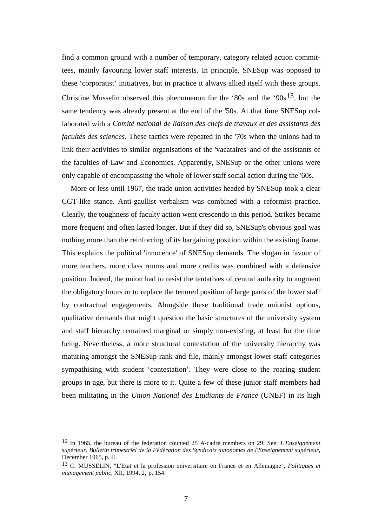find a common ground with a number of temporary, category related action committees, mainly favouring lower staff interests. In principle, SNESup was opposed to these 'corporatist' initiatives, but in practice it always allied itself with these groups. Christine Musselin observed this phenomenon for the '80s and the '90s<sup>13</sup>, but the same tendency was already present at the end of the '50s. At that time SNESup collaborated with a *Comité national de liaison des chefs de travaux et des assistants des facultés des sciences*. These tactics were repeated in the '70s when the unions had to link their activities to similar organisations of the 'vacataires' and of the assistants of the faculties of Law and Economics. Apparently, SNESup or the other unions were only capable of encompassing the whole of lower staff social action during the '60s.

More or less until 1967, the trade union activities headed by SNESup took a clear CGT-like stance. Anti-gaullist verbalism was combined with a reformist practice. Clearly, the toughness of faculty action went crescendo in this period. Strikes became more frequent and often lasted longer. But if they did so, SNESup's obvious goal was nothing more than the reinforcing of its bargaining position within the existing frame. This explains the political 'innocence' of SNESup demands. The slogan in favour of more teachers, more class rooms and more credits was combined with a defensive position. Indeed, the union had to resist the tentatives of central authority to augment the obligatory hours or to replace the tenured position of large parts of the lower staff by contractual engagements. Alongside these traditional trade unionist options, qualitative demands that might question the basic structures of the university system and staff hierarchy remained marginal or simply non-existing, at least for the time being. Nevertheless, a more structural contestation of the university hierarchy was maturing amongst the SNESup rank and file, mainly amongst lower staff categories sympathising with student 'contestation'. They were close to the roaring student groups in age, but there is more to it. Quite a few of these junior staff members had been militating in the *Union National des Etudiants de France* (UNEF) in its high

<sup>12</sup> In 1965, the bureau of the federation counted 25 A-cadre members on 29. See: *L'Enseignement supérieur. Bulletin trimestriel de la Fédération des Syndicats autonomes de l'Enseignement supérieur*, December 1965, p. II.

<sup>13</sup> C. MUSSELIN, "L'Etat et la profession universitaire en France et en Allemagne", *Politiques et management public*, XII, 1994, 2, p. 154.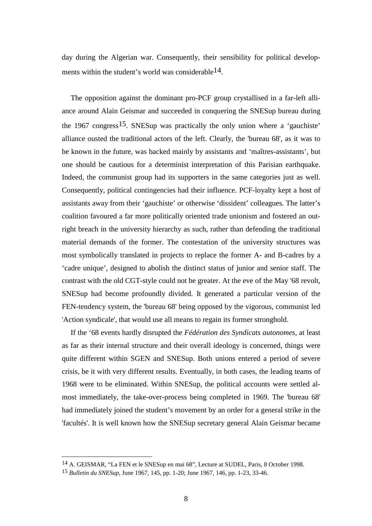day during the Algerian war. Consequently, their sensibility for political developments within the student's world was considerable<sup>14</sup>.

The opposition against the dominant pro-PCF group crystallised in a far-left alliance around Alain Geismar and succeeded in conquering the SNESup bureau during the 1967 congress<sup>15</sup>. SNESup was practically the only union where a 'gauchiste' alliance ousted the traditional actors of the left. Clearly, the 'bureau 68', as it was to be known in the future, was backed mainly by assistants and 'maîtres-assistants', but one should be cautious for a determinist interpretation of this Parisian earthquake. Indeed, the communist group had its supporters in the same categories just as well. Consequently, political contingencies had their influence. PCF-loyalty kept a host of assistants away from their 'gauchiste' or otherwise 'dissident' colleagues. The latter's coalition favoured a far more politically oriented trade unionism and fostered an outright breach in the university hierarchy as such, rather than defending the traditional material demands of the former. The contestation of the university structures was most symbolically translated in projects to replace the former A- and B-cadres by a 'cadre unique', designed to abolish the distinct status of junior and senior staff. The contrast with the old CGT-style could not be greater. At the eve of the May '68 revolt, SNESup had become profoundly divided. It generated a particular version of the FEN-tendency system, the 'bureau 68' being opposed by the vigorous, communist led 'Action syndicale', that would use all means to regain its former stronghold.

If the '68 events hardly disrupted the *Fédération des Syndicats autonomes*, at least as far as their internal structure and their overall ideology is concerned, things were quite different within SGEN and SNESup. Both unions entered a period of severe crisis, be it with very different results. Eventually, in both cases, the leading teams of 1968 were to be eliminated. Within SNESup, the political accounts were settled almost immediately, the take-over-process being completed in 1969. The 'bureau 68' had immediately joined the student's movement by an order for a general strike in the 'facultés'. It is well known how the SNESup secretary general Alain Geismar became

<sup>14</sup> A. GEISMAR, "La FEN et le SNESup en mai 68", Lecture at SUDEL, Paris, 8 October 1998.

<sup>15</sup> *Bulletin du SNESup*, June 1967, 145, pp. 1-20; June 1967, 146, pp. 1-23, 33-46.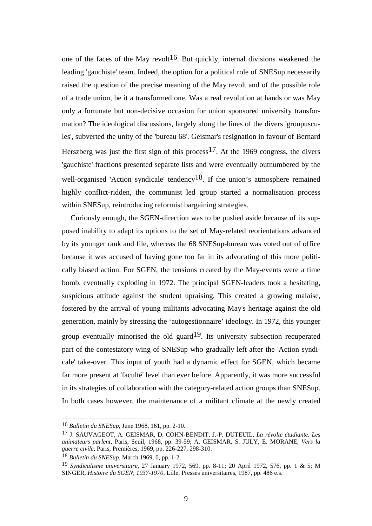one of the faces of the May revolt<sup>16</sup>. But quickly, internal divisions weakened the leading 'gauchiste' team. Indeed, the option for a political role of SNESup necessarily raised the question of the precise meaning of the May revolt and of the possible role of a trade union, be it a transformed one. Was a real revolution at hands or was May only a fortunate but non-decisive occasion for union sponsored university transformation? The ideological discussions, largely along the lines of the divers 'groupuscules', subverted the unity of the 'bureau 68'. Geismar's resignation in favour of Bernard Herszberg was just the first sign of this process<sup>17</sup>. At the 1969 congress, the divers 'gauchiste' fractions presented separate lists and were eventually outnumbered by the well-organised 'Action syndicale' tendency<sup>18</sup>. If the union's atmosphere remained highly conflict-ridden, the communist led group started a normalisation process within SNESup, reintroducing reformist bargaining strategies.

Curiously enough, the SGEN-direction was to be pushed aside because of its supposed inability to adapt its options to the set of May-related reorientations advanced by its younger rank and file, whereas the 68 SNESup-bureau was voted out of office because it was accused of having gone too far in its advocating of this more politically biased action. For SGEN, the tensions created by the May-events were a time bomb, eventually exploding in 1972. The principal SGEN-leaders took a hesitating, suspicious attitude against the student upraising. This created a growing malaise, fostered by the arrival of young militants advocating May's heritage against the old generation, mainly by stressing the 'autogestionnaire' ideology. In 1972, this younger group eventually minorised the old guard<sup>19</sup>. Its university subsection recuperated part of the contestatory wing of SNESup who gradually left after the 'Action syndicale' take-over. This input of youth had a dynamic effect for SGEN, which became far more present at 'faculté' level than ever before. Apparently, it was more successful in its strategies of collaboration with the category-related action groups than SNESup. In both cases however, the maintenance of a militant climate at the newly created

 $\overline{a}$ 

<sup>16</sup> *Bulletin du SNESup*, June 1968, 161, pp. 2-10.

<sup>17</sup> J. SAUVAGEOT, A. GEISMAR, D. COHN-BENDIT, J.-P. DUTEUIL, *La révolte étudiante. Les animateurs parlent*, Paris, Seuil, 1968, pp. 39-59; A. GEISMAR, S. JULY, E. MORANE, *Vers la guerre civile*, Paris, Premières, 1969, pp. 226-227, 298-310.

<sup>18</sup> *Bulletin du SNESup*, March 1969, 0, pp. 1-2.

<sup>19</sup> *Syndicalisme universitaire*, 27 January 1972, 569, pp. 8-11; 20 April 1972, 576, pp. 1 & 5; M SINGER, *Histoire du SGEN, 1937-1970*, Lille, Presses universitaires, 1987, pp. 486 e.s.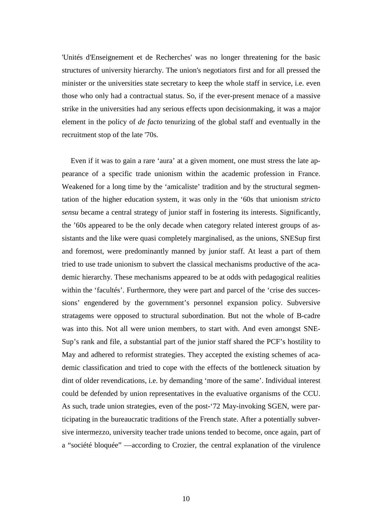'Unités d'Enseignement et de Recherches' was no longer threatening for the basic structures of university hierarchy. The union's negotiators first and for all pressed the minister or the universities state secretary to keep the whole staff in service, i.e. even those who only had a contractual status. So, if the ever-present menace of a massive strike in the universities had any serious effects upon decisionmaking, it was a major element in the policy of *de facto* tenurizing of the global staff and eventually in the recruitment stop of the late '70s.

Even if it was to gain a rare 'aura' at a given moment, one must stress the late appearance of a specific trade unionism within the academic profession in France. Weakened for a long time by the 'amicaliste' tradition and by the structural segmentation of the higher education system, it was only in the '60s that unionism *stricto sensu* became a central strategy of junior staff in fostering its interests. Significantly, the '60s appeared to be the only decade when category related interest groups of assistants and the like were quasi completely marginalised, as the unions, SNESup first and foremost, were predominantly manned by junior staff. At least a part of them tried to use trade unionism to subvert the classical mechanisms productive of the academic hierarchy. These mechanisms appeared to be at odds with pedagogical realities within the 'facultés'. Furthermore, they were part and parcel of the 'crise des successions' engendered by the government's personnel expansion policy. Subversive stratagems were opposed to structural subordination. But not the whole of B-cadre was into this. Not all were union members, to start with. And even amongst SNE-Sup's rank and file, a substantial part of the junior staff shared the PCF's hostility to May and adhered to reformist strategies. They accepted the existing schemes of academic classification and tried to cope with the effects of the bottleneck situation by dint of older revendications, i.e. by demanding 'more of the same'. Individual interest could be defended by union representatives in the evaluative organisms of the CCU. As such, trade union strategies, even of the post-'72 May-invoking SGEN, were participating in the bureaucratic traditions of the French state. After a potentially subversive intermezzo, university teacher trade unions tended to become, once again, part of a "société bloquée" —according to Crozier, the central explanation of the virulence